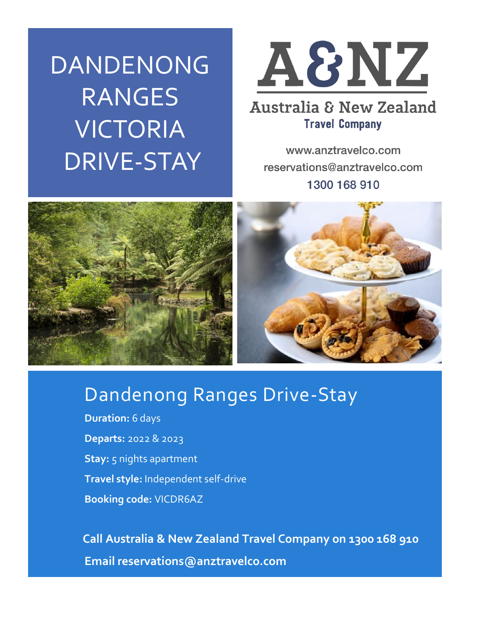DANDENONG RANGES VICTORIA DRIVE-STAY



### **Australia & New Zealand Travel Company**

www.anztravelco.com reservations@anztravelco.com 1300 168 910



## Dandenong Ranges Drive-Stay

**Duration:** 6 days **Departs:** 2022 & 2023 **Stay:** 5 nights apartment **Travel style:** Independent self-drive **Booking code:** VICDR6AZ

 **Call Australia & New Zealand Travel Company on 1300 168 910 Email reservations@anztravelco.com**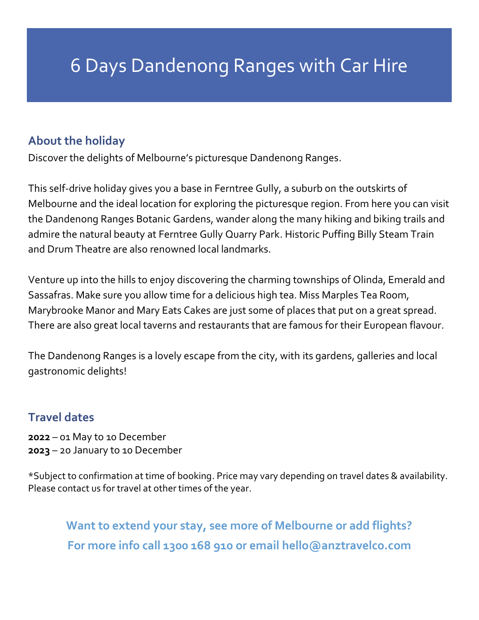# 6 Days Dandenong Ranges with Car Hire

#### **About the holiday**

Discover the delights of Melbourne's picturesque Dandenong Ranges.

This self-drive holiday gives you a base in Ferntree Gully, a suburb on the outskirts of Melbourne and the ideal location for exploring the picturesque region. From here you can visit the Dandenong Ranges Botanic Gardens, wander along the many hiking and biking trails and admire the natural beauty at Ferntree Gully Quarry Park. Historic Puffing Billy Steam Train and Drum Theatre are also renowned local landmarks.

Venture up into the hills to enjoy discovering the charming townships of Olinda, Emerald and Sassafras. Make sure you allow time for a delicious high tea. Miss Marples Tea Room, Marybrooke Manor and Mary Eats Cakes are just some of places that put on a great spread. There are also great local taverns and restaurants that are famous for their European flavour.

The Dandenong Ranges is a lovely escape from the city, with its gardens, galleries and local gastronomic delights!

#### **Travel dates**

**2022** – 01 May to 10 December **2023** – 20 January to 10 December

\*Subject to confirmation at time of booking. Price may vary depending on travel dates & availability. Please contact us for travel at other times of the year.

**Want to extend your stay, see more of Melbourne or add flights? For more info call 1300 168 910 or email hello@anztravelco.com**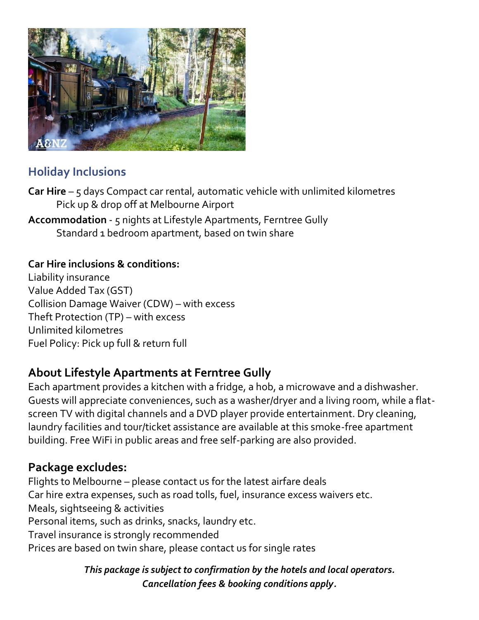

#### **Holiday Inclusions**

**Car Hire** – 5 days Compact car rental, automatic vehicle with unlimited kilometres Pick up & drop off at Melbourne Airport

**Accommodation** - 5 nights at Lifestyle Apartments, Ferntree Gully Standard 1 bedroom apartment, based on twin share

#### **Car Hire inclusions & conditions:**

Liability insurance Value Added Tax (GST) Collision Damage Waiver (CDW) – with excess Theft Protection (TP) – with excess Unlimited kilometres Fuel Policy: Pick up full & return full

#### **About Lifestyle Apartments at Ferntree Gully**

Each apartment provides a kitchen with a fridge, a hob, a microwave and a dishwasher. Guests will appreciate conveniences, such as a washer/dryer and a living room, while a flatscreen TV with digital channels and a DVD player provide entertainment. Dry cleaning, laundry facilities and tour/ticket assistance are available at this smoke-free apartment building. Free WiFi in public areas and free self-parking are also provided.

#### **Package excludes:**

Flights to Melbourne – please contact us for the latest airfare deals Car hire extra expenses, such as road tolls, fuel, insurance excess waivers etc. Meals, sightseeing & activities Personal items, such as drinks, snacks, laundry etc. Travel insurance is strongly recommended Prices are based on twin share, please contact us for single rates

> *This package is subject to confirmation by the hotels and local operators. Cancellation fees & booking conditions apply.*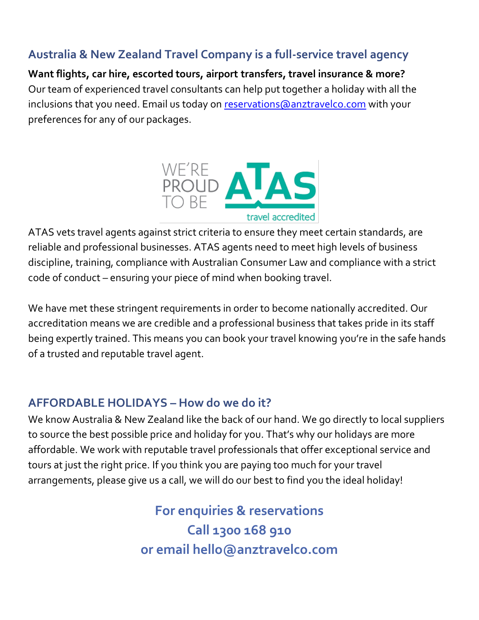#### **Australia & New Zealand Travel Company is a full-service travel agency**

**Want flights, car hire, escorted tours, airport transfers, travel insurance & more?** Our team of experienced travel consultants can help put together a holiday with all the inclusions that you need. Email us today on [reservations@anztravelco.com](mailto:reservations@anztravelco.com) with your preferences for any of our packages.



ATAS vets travel agents against strict criteria to ensure they meet certain standards, are reliable and professional businesses. ATAS agents need to meet high levels of business discipline, training, compliance with Australian Consumer Law and compliance with a strict code of conduct – ensuring your piece of mind when booking travel.

We have met these stringent requirements in order to become nationally accredited. Our accreditation means we are credible and a professional business that takes pride in its staff being expertly trained. This means you can book your travel knowing you're in the safe hands of a trusted and reputable travel agent.

#### **AFFORDABLE HOLIDAYS – How do we do it?**

We know Australia & New Zealand like the back of our hand. We go directly to local suppliers to source the best possible price and holiday for you. That's why our holidays are more affordable. We work with reputable travel professionals that offer exceptional service and tours at just the right price. If you think you are paying too much for your travel arrangements, please give us a call, we will do our best to find you the ideal holiday!

> **For enquiries & reservations Call 1300 168 910 or email hello@anztravelco.com**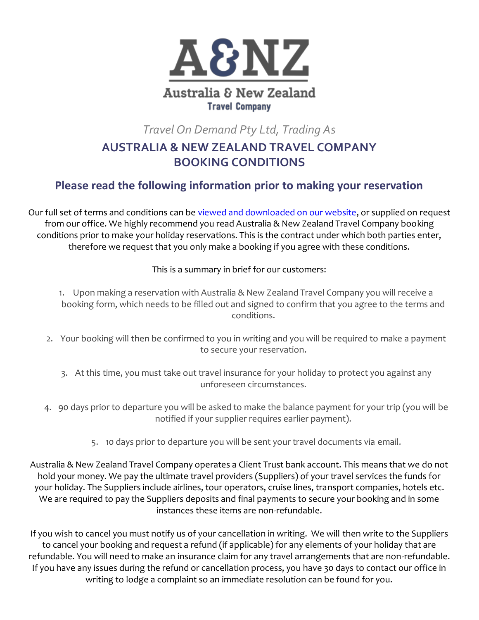

*Travel On Demand Pty Ltd, Trading As*

#### **AUSTRALIA & NEW ZEALAND TRAVEL COMPANY BOOKING CONDITIONS**

#### **Please read the following information prior to making your reservation**

Our full set of terms and conditions can be [viewed and downloaded on our website,](https://anztravelco.com.au/booking-conditions/) or supplied on request from our office. We highly recommend you read Australia & New Zealand Travel Company booking conditions prior to make your holiday reservations. This is the contract under which both parties enter, therefore we request that you only make a booking if you agree with these conditions.

This is a summary in brief for our customers:

1. Upon making a reservation with Australia & New Zealand Travel Company you will receive a booking form, which needs to be filled out and signed to confirm that you agree to the terms and conditions.

- 2. Your booking will then be confirmed to you in writing and you will be required to make a payment to secure your reservation.
	- 3. At this time, you must take out travel insurance for your holiday to protect you against any unforeseen circumstances.
- 4. 90 days prior to departure you will be asked to make the balance payment for your trip (you will be notified if your supplier requires earlier payment).
	- 5. 10 days prior to departure you will be sent your travel documents via email.

Australia & New Zealand Travel Company operates a Client Trust bank account. This means that we do not hold your money. We pay the ultimate travel providers (Suppliers) of your travel services the funds for your holiday. The Suppliers include airlines, tour operators, cruise lines, transport companies, hotels etc. We are required to pay the Suppliers deposits and final payments to secure your booking and in some instances these items are non-refundable.

If you wish to cancel you must notify us of your cancellation in writing. We will then write to the Suppliers to cancel your booking and request a refund (if applicable) for any elements of your holiday that are refundable. You will need to make an insurance claim for any travel arrangements that are non-refundable. If you have any issues during the refund or cancellation process, you have 30 days to contact our office in writing to lodge a complaint so an immediate resolution can be found for you.